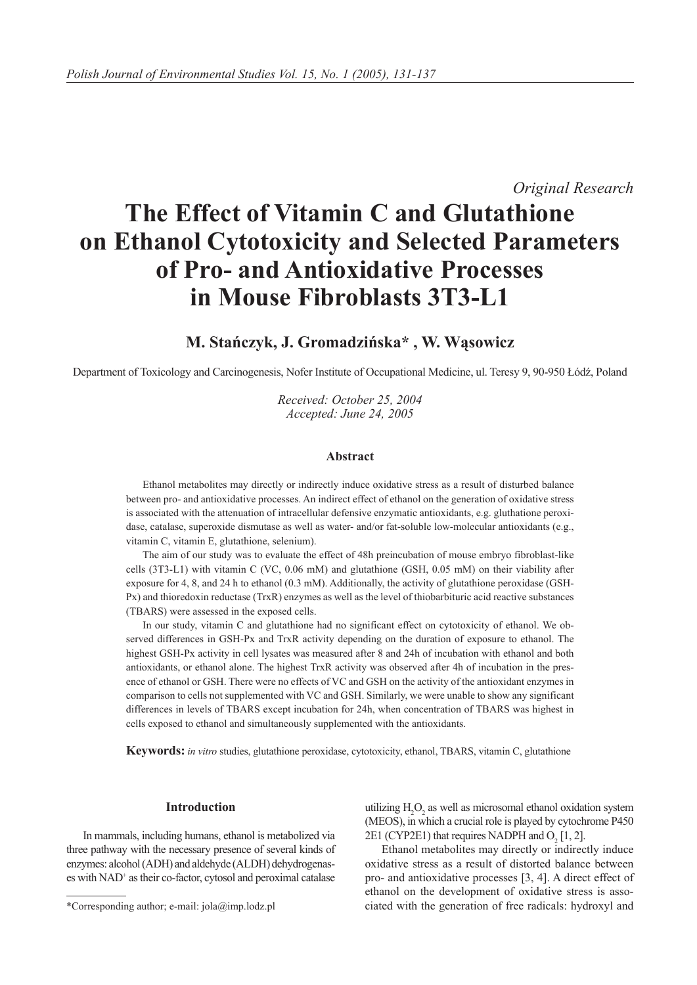*Original Research*

# **The Effect of Vitamin C and Glutathione on Ethanol Cytotoxicity and Selected Parameters of Pro- and Antioxidative Processes in Mouse Fibroblasts 3T3-L1**

## **M. Stańczyk, J. Gromadzińska\* , W. Wąsowicz**

Department of Toxicology and Carcinogenesis, Nofer Institute of Occupational Medicine, ul. Teresy 9, 90-950 Łódź, Poland

*Received: October 25, 2004 Accepted: June 24, 2005*

## **Abstract**

Ethanol metabolites may directly or indirectly induce oxidative stress as a result of disturbed balance between pro- and antioxidative processes. An indirect effect of ethanol on the generation of oxidative stress is associated with the attenuation of intracellular defensive enzymatic antioxidants, e.g. gluthatione peroxidase, catalase, superoxide dismutase as well as water- and/or fat-soluble low-molecular antioxidants (e.g., vitamin C, vitamin E, glutathione, selenium).

The aim of our study was to evaluate the effect of 48h preincubation of mouse embryo fibroblast-like cells (3T3-L1) with vitamin C (VC, 0.06 mM) and glutathione (GSH, 0.05 mM) on their viability after exposure for 4, 8, and 24 h to ethanol (0.3 mM). Additionally, the activity of glutathione peroxidase (GSH-Px) and thioredoxin reductase (TrxR) enzymes as well as the level of thiobarbituric acid reactive substances (TBARS) were assessed in the exposed cells.

In our study, vitamin C and glutathione had no significant effect on cytotoxicity of ethanol. We observed differences in GSH-Px and TrxR activity depending on the duration of exposure to ethanol. The highest GSH-Px activity in cell lysates was measured after 8 and 24h of incubation with ethanol and both antioxidants, or ethanol alone. The highest TrxR activity was observed after 4h of incubation in the presence of ethanol or GSH. There were no effects of VC and GSH on the activity of the antioxidant enzymes in comparison to cells not supplemented with VC and GSH. Similarly, we were unable to show any significant differences in levels of TBARS except incubation for 24h, when concentration of TBARS was highest in cells exposed to ethanol and simultaneously supplemented with the antioxidants.

**Keywords:** *in vitro* studies, glutathione peroxidase, cytotoxicity, ethanol, TBARS, vitamin C, glutathione

#### **Introduction**

In mammals, including humans, ethanol is metabolized via three pathway with the necessary presence of several kinds of enzymes: alcohol (ADH) and aldehyde (ALDH) dehydrogenases with NAD<sup>+</sup> as their co-factor, cytosol and peroximal catalase

utilizing  $H_2O_2$  as well as microsomal ethanol oxidation system (MEOS), in which a crucial role is played by cytochrome P450 2E1 (CYP2E1) that requires NADPH and  $O_2$  [1, 2].

Ethanol metabolites may directly or indirectly induce oxidative stress as a result of distorted balance between pro- and antioxidative processes [3, 4]. A direct effect of ethanol on the development of oxidative stress is associated with the generation of free radicals: hydroxyl and

<sup>\*</sup>Corresponding author; e-mail: jola@imp.lodz.pl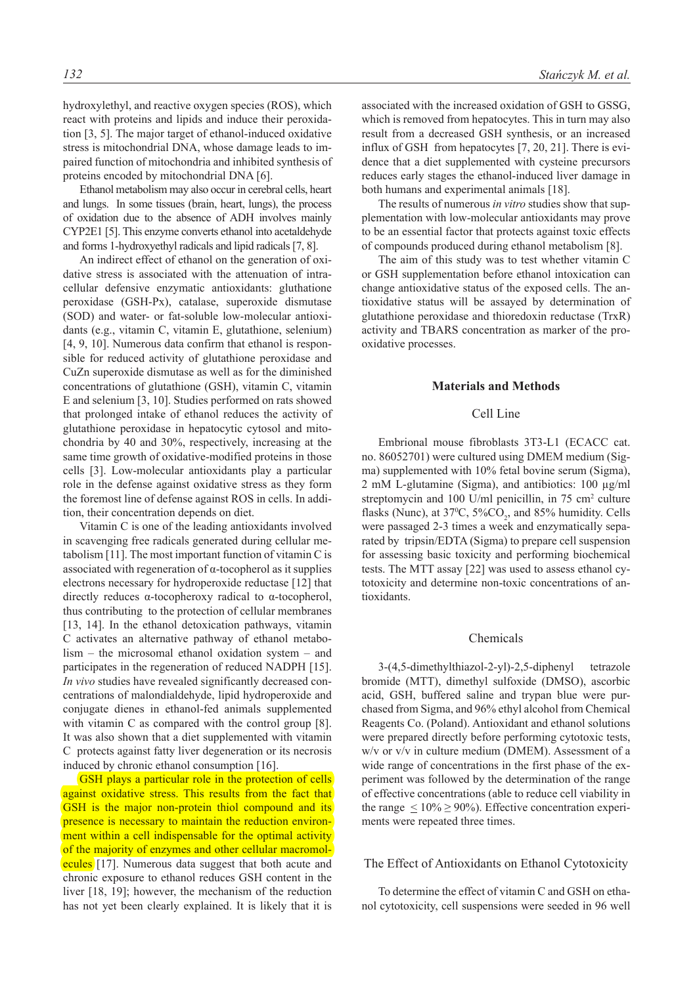hydroxylethyl, and reactive oxygen species (ROS), which react with proteins and lipids and induce their peroxidation [3, 5]. The major target of ethanol-induced oxidative stress is mitochondrial DNA, whose damage leads to impaired function of mitochondria and inhibited synthesis of proteins encoded by mitochondrial DNA [6].

Ethanol metabolism may also occur in cerebral cells, heart and lungs. In some tissues (brain, heart, lungs), the process of oxidation due to the absence of ADH involves mainly CYP2E1 [5]. This enzyme converts ethanol into acetaldehyde and forms 1-hydroxyethyl radicals and lipid radicals [7, 8].

An indirect effect of ethanol on the generation of oxidative stress is associated with the attenuation of intracellular defensive enzymatic antioxidants: gluthatione peroxidase (GSH-Px), catalase, superoxide dismutase (SOD) and water- or fat-soluble low-molecular antioxidants (e.g., vitamin C, vitamin E, glutathione, selenium) [4, 9, 10]. Numerous data confirm that ethanol is responsible for reduced activity of glutathione peroxidase and CuZn superoxide dismutase as well as for the diminished concentrations of glutathione (GSH), vitamin C, vitamin E and selenium [3, 10]. Studies performed on rats showed that prolonged intake of ethanol reduces the activity of glutathione peroxidase in hepatocytic cytosol and mitochondria by 40 and 30%, respectively, increasing at the same time growth of oxidative-modified proteins in those cells [3]. Low-molecular antioxidants play a particular role in the defense against oxidative stress as they form the foremost line of defense against ROS in cells. In addition, their concentration depends on diet.

Vitamin C is one of the leading antioxidants involved in scavenging free radicals generated during cellular metabolism [11]. The most important function of vitamin C is associated with regeneration of α-tocopherol as it supplies electrons necessary for hydroperoxide reductase [12] that directly reduces α-tocopheroxy radical to α-tocopherol, thus contributing to the protection of cellular membranes [13, 14]. In the ethanol detoxication pathways, vitamin C activates an alternative pathway of ethanol metabolism – the microsomal ethanol oxidation system – and participates in the regeneration of reduced NADPH [15]. *In vivo* studies have revealed significantly decreased concentrations of malondialdehyde, lipid hydroperoxide and conjugate dienes in ethanol-fed animals supplemented with vitamin C as compared with the control group [8]. It was also shown that a diet supplemented with vitamin C protects against fatty liver degeneration or its necrosis induced by chronic ethanol consumption [16].

GSH plays a particular role in the protection of cells against oxidative stress. This results from the fact that GSH is the major non-protein thiol compound and its presence is necessary to maintain the reduction environment within a cell indispensable for the optimal activity of the majority of enzymes and other cellular macromolecules [17]. Numerous data suggest that both acute and chronic exposure to ethanol reduces GSH content in the liver [18, 19]; however, the mechanism of the reduction has not yet been clearly explained. It is likely that it is

associated with the increased oxidation of GSH to GSSG, which is removed from hepatocytes. This in turn may also result from a decreased GSH synthesis, or an increased influx of GSH from hepatocytes [7, 20, 21]. There is evidence that a diet supplemented with cysteine precursors reduces early stages the ethanol-induced liver damage in both humans and experimental animals [18].

The results of numerous *in vitro* studies show that supplementation with low-molecular antioxidants may prove to be an essential factor that protects against toxic effects of compounds produced during ethanol metabolism [8].

The aim of this study was to test whether vitamin C or GSH supplementation before ethanol intoxication can change antioxidative status of the exposed cells. The antioxidative status will be assayed by determination of glutathione peroxidase and thioredoxin reductase (TrxR) activity and TBARS concentration as marker of the prooxidative processes.

#### **Materials and Methods**

## Cell Line

Embrional mouse fibroblasts 3T3-L1 (ECACC cat. no. 86052701) were cultured using DMEM medium (Sigma) supplemented with 10% fetal bovine serum (Sigma), 2 mM L-glutamine (Sigma), and antibiotics: 100 µg/ml streptomycin and  $100$  U/ml penicillin, in  $75$  cm<sup>2</sup> culture flasks (Nunc), at  $37^{\circ}$ C,  $5\%$ CO<sub>2</sub>, and  $85\%$  humidity. Cells were passaged 2-3 times a week and enzymatically separated by tripsin/EDTA (Sigma) to prepare cell suspension for assessing basic toxicity and performing biochemical tests. The MTT assay [22] was used to assess ethanol cytotoxicity and determine non-toxic concentrations of antioxidants.

#### Chemicals

3-(4,5-dimethylthiazol-2-yl)-2,5-diphenyl tetrazole bromide (MTT), dimethyl sulfoxide (DMSO), ascorbic acid, GSH, buffered saline and trypan blue were purchased from Sigma, and 96% ethyl alcohol from Chemical Reagents Co. (Poland). Antioxidant and ethanol solutions were prepared directly before performing cytotoxic tests, w/v or v/v in culture medium (DMEM). Assessment of a wide range of concentrations in the first phase of the experiment was followed by the determination of the range of effective concentrations (able to reduce cell viability in the range  $\leq 10\% \geq 90\%$ ). Effective concentration experiments were repeated three times.

## The Effect of Antioxidants on Ethanol Cytotoxicity

To determine the effect of vitamin C and GSH on ethanol cytotoxicity, cell suspensions were seeded in 96 well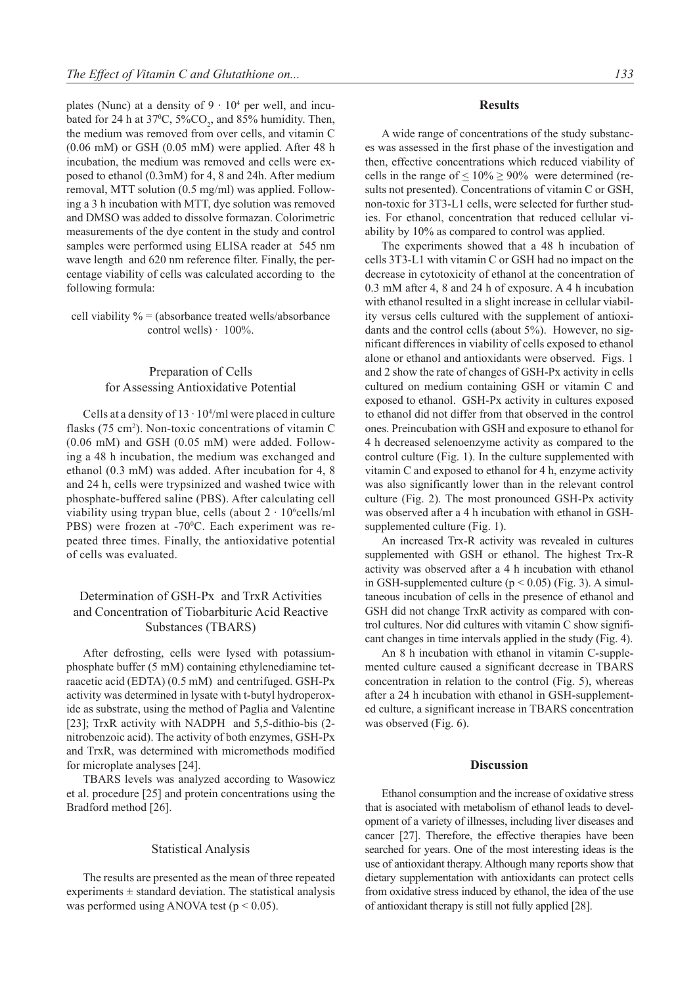plates (Nunc) at a density of  $9 \cdot 10^4$  per well, and incubated for 24 h at  $37^{\circ}$ C,  $5\%$ CO<sub>2</sub>, and  $85\%$  humidity. Then, the medium was removed from over cells, and vitamin C (0.06 mM) or GSH (0.05 mM) were applied. After 48 h incubation, the medium was removed and cells were exposed to ethanol (0.3mM) for 4, 8 and 24h. After medium removal, MTT solution (0.5 mg/ml) was applied. Following a 3 h incubation with MTT, dye solution was removed and DMSO was added to dissolve formazan. Colorimetric measurements of the dye content in the study and control samples were performed using ELISA reader at 545 nm wave length and 620 nm reference filter. Finally, the percentage viability of cells was calculated according to the following formula:

cell viability  $% =$  (absorbance treated wells/absorbance control wells)  $\cdot$  100%.

## Preparation of Cells for Assessing Antioxidative Potential

Cells at a density of  $13 \cdot 10^{4}$ /ml were placed in culture flasks (75 cm<sup>2</sup>). Non-toxic concentrations of vitamin C (0.06 mM) and GSH (0.05 mM) were added. Following a 48 h incubation, the medium was exchanged and ethanol (0.3 mM) was added. After incubation for 4, 8 and 24 h, cells were trypsinized and washed twice with phosphate-buffered saline (PBS). After calculating cell viability using trypan blue, cells (about  $2 \cdot 10^6$ cells/ml PBS) were frozen at -70°C. Each experiment was repeated three times. Finally, the antioxidative potential of cells was evaluated.

## Determination of GSH-Px and TrxR Activities and Concentration of Tiobarbituric Acid Reactive Substances (TBARS)

After defrosting, cells were lysed with potassiumphosphate buffer (5 mM) containing ethylenediamine tetraacetic acid (EDTA) (0.5 mM) and centrifuged. GSH-Px activity was determined in lysate with t-butyl hydroperoxide as substrate, using the method of Paglia and Valentine [23]; TrxR activity with NADPH and 5,5-dithio-bis (2 nitrobenzoic acid). The activity of both enzymes, GSH-Px and TrxR, was determined with micromethods modified for microplate analyses [24].

TBARS levels was analyzed according to Wasowicz et al. procedure [25] and protein concentrations using the Bradford method [26].

## Statistical Analysis

The results are presented as the mean of three repeated experiments  $\pm$  standard deviation. The statistical analysis was performed using ANOVA test ( $p < 0.05$ ).

## **Results**

A wide range of concentrations of the study substances was assessed in the first phase of the investigation and then, effective concentrations which reduced viability of cells in the range of  $\leq 10\% \geq 90\%$  were determined (results not presented). Concentrations of vitamin C or GSH, non-toxic for 3T3-L1 cells, were selected for further studies. For ethanol, concentration that reduced cellular viability by 10% as compared to control was applied.

The experiments showed that a 48 h incubation of cells 3T3-L1 with vitamin C or GSH had no impact on the decrease in cytotoxicity of ethanol at the concentration of 0.3 mM after 4, 8 and 24 h of exposure. A 4 h incubation with ethanol resulted in a slight increase in cellular viability versus cells cultured with the supplement of antioxidants and the control cells (about 5%). However, no significant differences in viability of cells exposed to ethanol alone or ethanol and antioxidants were observed. Figs. 1 and 2 show the rate of changes of GSH-Px activity in cells cultured on medium containing GSH or vitamin C and exposed to ethanol. GSH-Px activity in cultures exposed to ethanol did not differ from that observed in the control ones. Preincubation with GSH and exposure to ethanol for 4 h decreased selenoenzyme activity as compared to the control culture (Fig. 1). In the culture supplemented with vitamin C and exposed to ethanol for 4 h, enzyme activity was also significantly lower than in the relevant control culture (Fig. 2). The most pronounced GSH-Px activity was observed after a 4 h incubation with ethanol in GSHsupplemented culture (Fig. 1).

An increased Trx-R activity was revealed in cultures supplemented with GSH or ethanol. The highest Trx-R activity was observed after a 4 h incubation with ethanol in GSH-supplemented culture ( $p < 0.05$ ) (Fig. 3). A simultaneous incubation of cells in the presence of ethanol and GSH did not change TrxR activity as compared with control cultures. Nor did cultures with vitamin C show significant changes in time intervals applied in the study (Fig. 4).

An 8 h incubation with ethanol in vitamin C-supplemented culture caused a significant decrease in TBARS concentration in relation to the control (Fig. 5), whereas after a 24 h incubation with ethanol in GSH-supplemented culture, a significant increase in TBARS concentration was observed (Fig. 6).

## **Discussion**

Ethanol consumption and the increase of oxidative stress that is asociated with metabolism of ethanol leads to development of a variety of illnesses, including liver diseases and cancer [27]. Therefore, the effective therapies have been searched for years. One of the most interesting ideas is the use of antioxidant therapy. Although many reports show that dietary supplementation with antioxidants can protect cells from oxidative stress induced by ethanol, the idea of the use of antioxidant therapy is still not fully applied [28].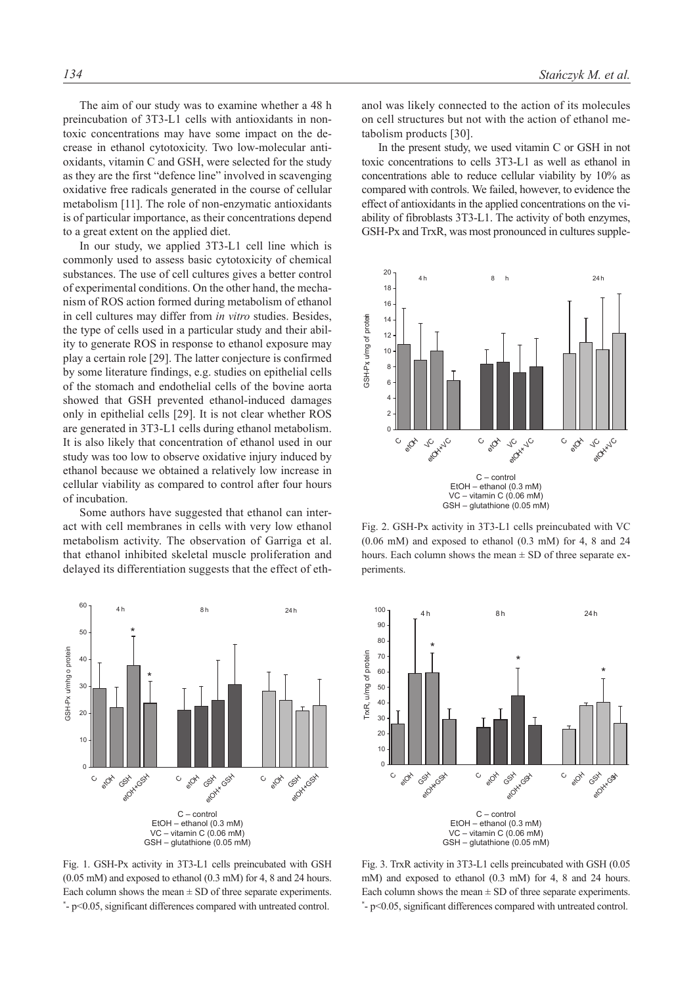The aim of our study was to examine whether a 48 h preincubation of 3T3-L1 cells with antioxidants in nontoxic concentrations may have some impact on the decrease in ethanol cytotoxicity. Two low-molecular antioxidants, vitamin C and GSH, were selected for the study as they are the first "defence line" involved in scavenging oxidative free radicals generated in the course of cellular metabolism [11]. The role of non-enzymatic antioxidants is of particular importance, as their concentrations depend to a great extent on the applied diet.

In our study, we applied 3T3-L1 cell line which is commonly used to assess basic cytotoxicity of chemical substances. The use of cell cultures gives a better control of experimental conditions. On the other hand, the mechanism of ROS action formed during metabolism of ethanol in cell cultures may differ from *in vitro* studies. Besides, the type of cells used in a particular study and their ability to generate ROS in response to ethanol exposure may play a certain role [29]. The latter conjecture is confirmed by some literature findings, e.g. studies on epithelial cells of the stomach and endothelial cells of the bovine aorta showed that GSH prevented ethanol-induced damages only in epithelial cells [29]. It is not clear whether ROS are generated in 3T3-L1 cells during ethanol metabolism. It is also likely that concentration of ethanol used in our study was too low to observe oxidative injury induced by ethanol because we obtained a relatively low increase in cellular viability as compared to control after four hours of incubation.

Some authors have suggested that ethanol can interact with cell membranes in cells with very low ethanol metabolism activity. The observation of Garriga et al. that ethanol inhibited skeletal muscle proliferation and delayed its differentiation suggests that the effect of eth-



Fig. 1. GSH-Px activity in 3T3-L1 cells preincubated with GSH (0.05 mM) and exposed to ethanol (0.3 mM) for 4, 8 and 24 hours. Each column shows the mean  $\pm$  SD of three separate experiments. \* - p<0.05, significant differences compared with untreated control.

anol was likely connected to the action of its molecules on cell structures but not with the action of ethanol metabolism products [30].

In the present study, we used vitamin C or GSH in not toxic concentrations to cells 3T3-L1 as well as ethanol in concentrations able to reduce cellular viability by 10% as compared with controls. We failed, however, to evidence the effect of antioxidants in the applied concentrations on the viability of fibroblasts 3T3-L1. The activity of both enzymes, GSH-Px and TrxR, was most pronounced in cultures supple-



Fig. 2. GSH-Px activity in 3T3-L1 cells preincubated with VC (0.06 mM) and exposed to ethanol (0.3 mM) for 4, 8 and 24 hours. Each column shows the mean  $\pm$  SD of three separate experiments.



Fig. 3. TrxR activity in 3T3-L1 cells preincubated with GSH (0.05 mM) and exposed to ethanol (0.3 mM) for 4, 8 and 24 hours. Each column shows the mean  $\pm$  SD of three separate experiments. \* - p<0.05, significant differences compared with untreated control.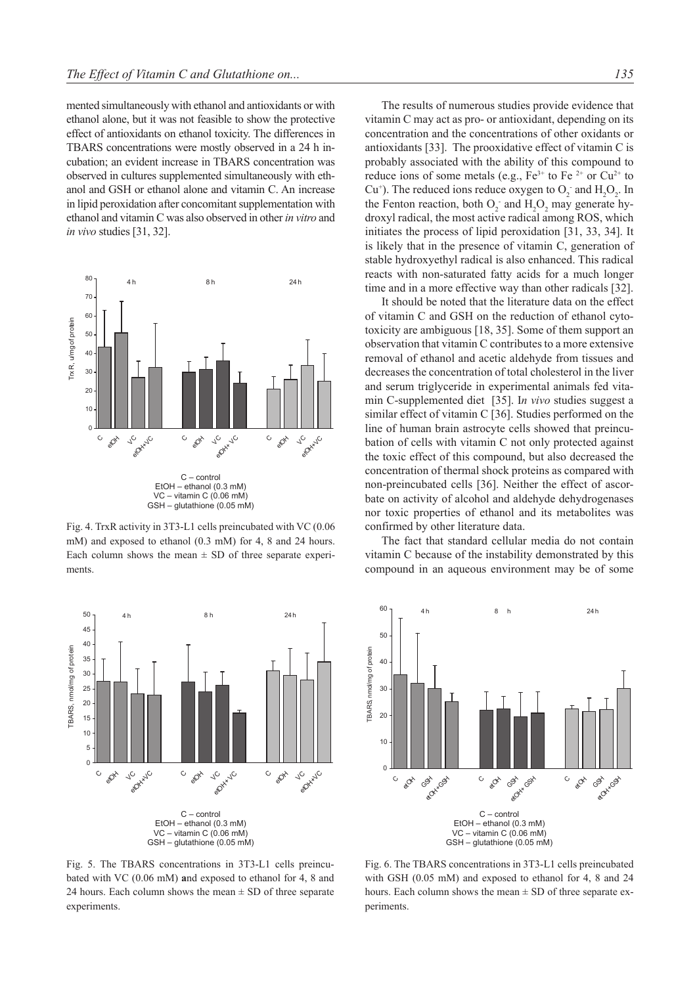mented simultaneously with ethanol and antioxidants or with ethanol alone, but it was not feasible to show the protective effect of antioxidants on ethanol toxicity. The differences in TBARS concentrations were mostly observed in a 24 h incubation; an evident increase in TBARS concentration was observed in cultures supplemented simultaneously with ethanol and GSH or ethanol alone and vitamin C. An increase in lipid peroxidation after concomitant supplementation with ethanol and vitamin C was also observed in other *in vitro* and *in vivo* studies [31, 32].



Fig. 4. TrxR activity in 3T3-L1 cells preincubated with VC (0.06 mM) and exposed to ethanol (0.3 mM) for 4, 8 and 24 hours. Each column shows the mean  $\pm$  SD of three separate experiments.



Fig. 5. The TBARS concentrations in 3T3-L1 cells preincubated with VC (0.06 mM) **a**nd exposed to ethanol for 4, 8 and 24 hours. Each column shows the mean  $\pm$  SD of three separate experiments.

The results of numerous studies provide evidence that vitamin C may act as pro- or antioxidant, depending on its concentration and the concentrations of other oxidants or antioxidants [33]. The prooxidative effect of vitamin C is probably associated with the ability of this compound to reduce ions of some metals (e.g.,  $Fe^{3+}$  to Fe  $^{2+}$  or Cu<sup>2+</sup> to Cu<sup>+</sup>). The reduced ions reduce oxygen to  $O_2$  and  $H_2O_2$ . In the Fenton reaction, both  $O_2$  and  $H_2O_2$  may generate hydroxyl radical, the most active radical among ROS, which initiates the process of lipid peroxidation [31, 33, 34]. It is likely that in the presence of vitamin C, generation of stable hydroxyethyl radical is also enhanced. This radical reacts with non-saturated fatty acids for a much longer time and in a more effective way than other radicals [32].

It should be noted that the literature data on the effect of vitamin C and GSH on the reduction of ethanol cytotoxicity are ambiguous [18, 35]. Some of them support an observation that vitamin C contributes to a more extensive removal of ethanol and acetic aldehyde from tissues and decreases the concentration of total cholesterol in the liver and serum triglyceride in experimental animals fed vitamin C-supplemented diet [35]. I*n vivo* studies suggest a similar effect of vitamin C [36]. Studies performed on the line of human brain astrocyte cells showed that preincubation of cells with vitamin C not only protected against the toxic effect of this compound, but also decreased the concentration of thermal shock proteins as compared with non-preincubated cells [36]. Neither the effect of ascorbate on activity of alcohol and aldehyde dehydrogenases nor toxic properties of ethanol and its metabolites was confirmed by other literature data.

The fact that standard cellular media do not contain vitamin C because of the instability demonstrated by this compound in an aqueous environment may be of some



Fig. 6. The TBARS concentrations in 3T3-L1 cells preincubated with GSH (0.05 mM) and exposed to ethanol for 4, 8 and 24 hours. Each column shows the mean  $\pm$  SD of three separate experiments.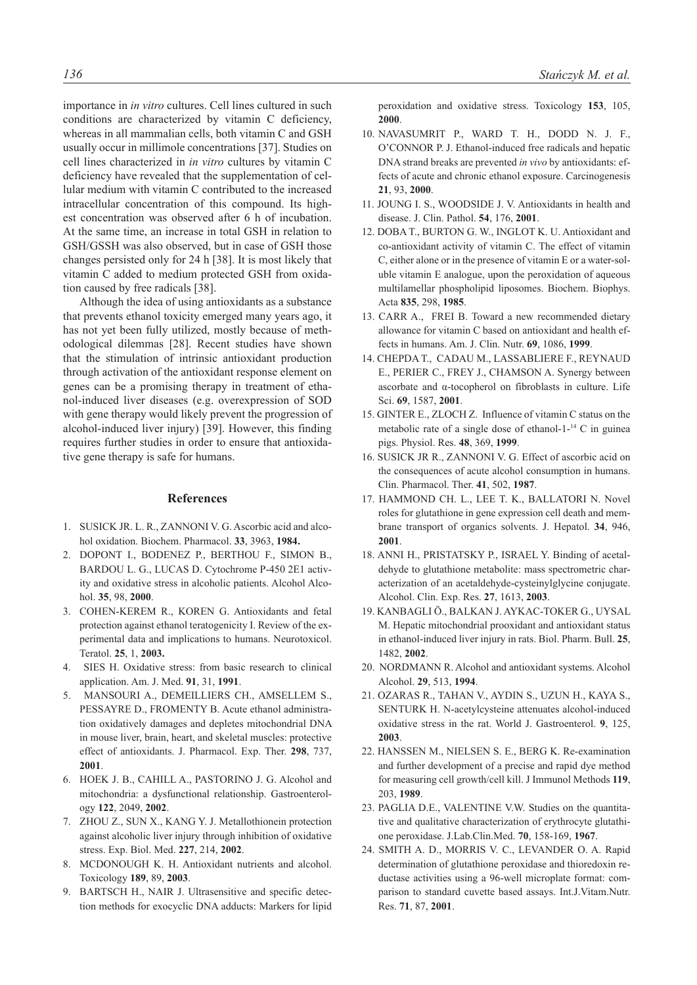importance in *in vitro* cultures. Cell lines cultured in such conditions are characterized by vitamin C deficiency, whereas in all mammalian cells, both vitamin C and GSH usually occur in millimole concentrations [37]. Studies on cell lines characterized in *in vitro* cultures by vitamin C deficiency have revealed that the supplementation of cellular medium with vitamin C contributed to the increased intracellular concentration of this compound. Its highest concentration was observed after 6 h of incubation. At the same time, an increase in total GSH in relation to GSH/GSSH was also observed, but in case of GSH those changes persisted only for 24 h [38]. It is most likely that vitamin C added to medium protected GSH from oxidation caused by free radicals [38].

Although the idea of using antioxidants as a substance that prevents ethanol toxicity emerged many years ago, it has not yet been fully utilized, mostly because of methodological dilemmas [28]. Recent studies have shown that the stimulation of intrinsic antioxidant production through activation of the antioxidant response element on genes can be a promising therapy in treatment of ethanol-induced liver diseases (e.g. overexpression of SOD with gene therapy would likely prevent the progression of alcohol-induced liver injury) [39]. However, this finding requires further studies in order to ensure that antioxidative gene therapy is safe for humans.

## **References**

- 1. SUSICK JR. L. R., ZANNONI V. G. Ascorbic acid and alcohol oxidation. Biochem. Pharmacol. **33**, 3963, **1984.**
- 2. DOPONT I., BODENEZ P., BERTHOU F., SIMON B., BARDOU L. G., LUCAS D. Cytochrome P-450 2E1 activity and oxidative stress in alcoholic patients. Alcohol Alcohol. **35**, 98, **2000**.
- 3. COHEN-KEREM R., KOREN G. Antioxidants and fetal protection against ethanol teratogenicity I. Review of the experimental data and implications to humans. Neurotoxicol. Teratol. **25**, 1, **2003.**
- 4. SIES H. Oxidative stress: from basic research to clinical application. Am. J. Med. **91**, 31, **1991**.
- 5. MANSOURI A., DEMEILLIERS CH., AMSELLEM S., PESSAYRE D., FROMENTY B. Acute ethanol administration oxidatively damages and depletes mitochondrial DNA in mouse liver, brain, heart, and skeletal muscles: protective effect of antioxidants. J. Pharmacol. Exp. Ther. **298**, 737, **2001**.
- 6. HOEK J. B., CAHILL A., PASTORINO J. G. Alcohol and mitochondria: a dysfunctional relationship. Gastroenterology **122**, 2049, **2002**.
- 7. ZHOU Z., SUN X., KANG Y. J. Metallothionein protection against alcoholic liver injury through inhibition of oxidative stress. Exp. Biol. Med. **227**, 214, **2002**.
- 8. MCDONOUGH K. H. Antioxidant nutrients and alcohol. Toxicology **189**, 89, **2003**.
- 9. BARTSCH H., NAIR J. Ultrasensitive and specific detection methods for exocyclic DNA adducts: Markers for lipid

peroxidation and oxidative stress. Toxicology **153**, 105, **2000**.

- 10. NAVASUMRIT P., WARD T. H., DODD N. J. F., O'CONNOR P. J. Ethanol-induced free radicals and hepatic DNA strand breaks are prevented *in vivo* by antioxidants: effects of acute and chronic ethanol exposure. Carcinogenesis **21**, 93, **2000**.
- 11. JOUNG I. S., WOODSIDE J. V. Antioxidants in health and disease. J. Clin. Pathol. **54**, 176, **2001**.
- 12. DOBA T., BURTON G. W., INGLOT K. U. Antioxidant and co-antioxidant activity of vitamin C. The effect of vitamin C, either alone or in the presence of vitamin E or a water-soluble vitamin E analogue, upon the peroxidation of aqueous multilamellar phospholipid liposomes. Biochem. Biophys. Acta **835**, 298, **1985**.
- 13. CARR A., FREI B. Toward a new recommended dietary allowance for vitamin C based on antioxidant and health effects in humans. Am. J. Clin. Nutr. **69**, 1086, **1999**.
- 14. CHEPDA T., CADAU M., LASSABLIERE F., REYNAUD E., PERIER C., FREY J., CHAMSON A. Synergy between ascorbate and α-tocopherol on fibroblasts in culture. Life Sci. **69**, 1587, **2001**.
- 15. GINTER E., ZLOCH Z. Influence of vitamin C status on the metabolic rate of a single dose of ethanol-1-14 C in guinea pigs. Physiol. Res. **48**, 369, **1999**.
- 16. SUSICK JR R., ZANNONI V. G. Effect of ascorbic acid on the consequences of acute alcohol consumption in humans. Clin. Pharmacol. Ther. **41**, 502, **1987**.
- 17. HAMMOND CH. L., LEE T. K., BALLATORI N. Novel roles for glutathione in gene expression cell death and membrane transport of organics solvents. J. Hepatol. **34**, 946, **2001**.
- 18. ANNI H., PRISTATSKY P., ISRAEL Y. Binding of acetaldehyde to glutathione metabolite: mass spectrometric characterization of an acetaldehyde-cysteinylglycine conjugate. Alcohol. Clin. Exp. Res. **27**, 1613, **2003**.
- 19. KANBAGLI Ö., BALKAN J. AYKAC-TOKER G., UYSAL M. Hepatic mitochondrial prooxidant and antioxidant status in ethanol-induced liver injury in rats. Biol. Pharm. Bull. **25**, 1482, **2002**.
- 20. NORDMANN R. Alcohol and antioxidant systems. Alcohol Alcohol. **29**, 513, **1994**.
- 21. OZARAS R., TAHAN V., AYDIN S., UZUN H., KAYA S., SENTURK H. N-acetylcysteine attenuates alcohol-induced oxidative stress in the rat. World J. Gastroenterol. **9**, 125, **2003**.
- 22. HANSSEN M., NIELSEN S. E., BERG K. Re-examination and further development of a precise and rapid dye method for measuring cell growth/cell kill. J Immunol Methods **119**, 203, **1989**.
- 23. PAGLIA D.E., VALENTINE V.W. Studies on the quantitative and qualitative characterization of erythrocyte glutathione peroxidase. J.Lab.Clin.Med. **70**, 158-169, **1967**.
- 24. SMITH A. D., MORRIS V. C., LEVANDER O. A. Rapid determination of glutathione peroxidase and thioredoxin reductase activities using a 96-well microplate format: comparison to standard cuvette based assays. Int.J.Vitam.Nutr. Res. **71**, 87, **2001**.